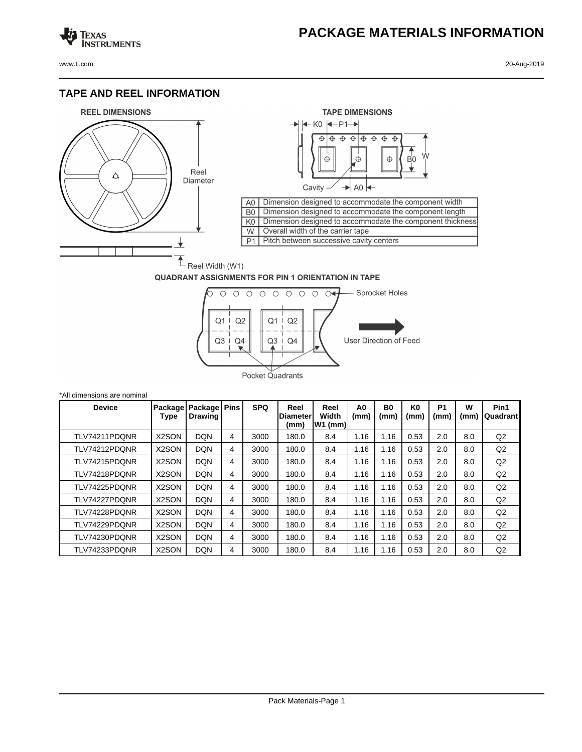## **PACKAGE MATERIALS INFORMATION**

Texas<br>Instruments

## **TAPE AND REEL INFORMATION**





## **QUADRANT ASSIGNMENTS FOR PIN 1 ORIENTATION IN TAPE**



| *All dimensions are nominal |                    |                                            |   |            |                          |                             |            |                        |                        |                        |           |                  |
|-----------------------------|--------------------|--------------------------------------------|---|------------|--------------------------|-----------------------------|------------|------------------------|------------------------|------------------------|-----------|------------------|
| <b>Device</b>               | Type               | Package   Package   Pins<br><b>Drawing</b> |   | <b>SPQ</b> | Reel<br>Diameter<br>(mm) | Reel<br>Width<br>$ W1$ (mm) | A0<br>(mm) | B <sub>0</sub><br>(mm) | K <sub>0</sub><br>(mm) | P <sub>1</sub><br>(mm) | W<br>(mm) | Pin1<br>Quadrant |
| TLV74211PDONR               | X2SON              | <b>DQN</b>                                 | 4 | 3000       | 180.0                    | 8.4                         | 1.16       | 1.16                   | 0.53                   | 2.0                    | 8.0       | Q2               |
| TLV74212PDONR               | X2SON              | <b>DQN</b>                                 | 4 | 3000       | 180.0                    | 8.4                         | 1.16       | 1.16                   | 0.53                   | 2.0                    | 8.0       | Q2               |
| TLV74215PDONR               | X2SON              | <b>DQN</b>                                 | 4 | 3000       | 180.0                    | 8.4                         | 1.16       | 1.16                   | 0.53                   | 2.0                    | 8.0       | Q <sub>2</sub>   |
| TLV74218PDONR               | X2SON              | <b>DQN</b>                                 | 4 | 3000       | 180.0                    | 8.4                         | 1.16       | 1.16                   | 0.53                   | 2.0                    | 8.0       | Q2               |
| TLV74225PDONR               | X <sub>2</sub> SON | <b>DQN</b>                                 | 4 | 3000       | 180.0                    | 8.4                         | 1.16       | 1.16                   | 0.53                   | 2.0                    | 8.0       | Q2               |
| TLV74227PDONR               | X2SON              | <b>DQN</b>                                 | 4 | 3000       | 180.0                    | 8.4                         | 1.16       | 1.16                   | 0.53                   | 2.0                    | 8.0       | Q2               |
| TLV74228PDQNR               | X2SON              | <b>DQN</b>                                 | 4 | 3000       | 180.0                    | 8.4                         | 1.16       | 1.16                   | 0.53                   | 2.0                    | 8.0       | Q2               |
| TLV74229PDONR               | X <sub>2</sub> SON | <b>DQN</b>                                 | 4 | 3000       | 180.0                    | 8.4                         | 1.16       | 1.16                   | 0.53                   | 2.0                    | 8.0       | Q2               |
| TLV74230PDQNR               | X <sub>2</sub> SON | <b>DQN</b>                                 | 4 | 3000       | 180.0                    | 8.4                         | 1.16       | 1.16                   | 0.53                   | 2.0                    | 8.0       | Q2               |
| TLV74233PDQNR               | X2SON              | <b>DQN</b>                                 | 4 | 3000       | 180.0                    | 8.4                         | 1.16       | 1.16                   | 0.53                   | 2.0                    | 8.0       | Q2               |